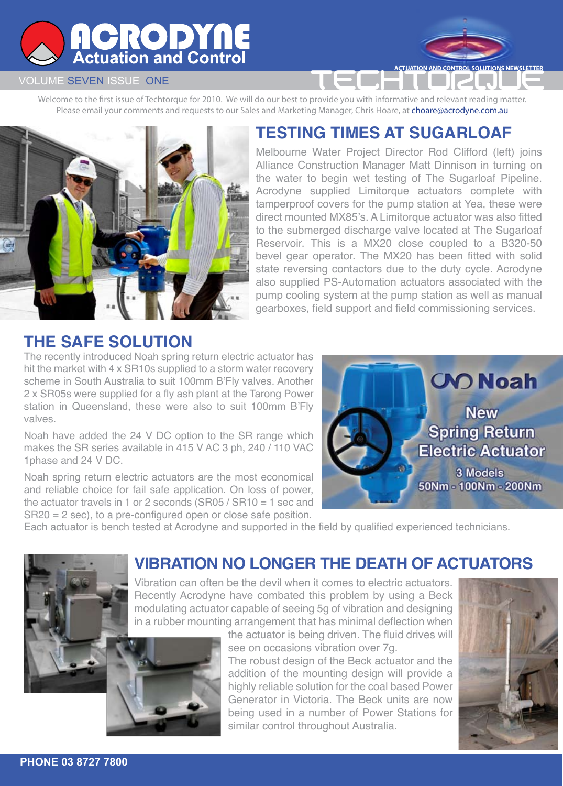# **ACRODYNE**<br>Actuation and Control

### VOLUME SEVEN ISSUE ONE

Welcome to the first issue of Techtorque for 2010. We will do our best to provide you with informative and relevant reading matter. Please email your comments and requests to our Sales and Marketing Manager, Chris Hoare, at choare@acrodyne.com.au



## **TESTING TIMES AT SUGARLOAF**

**TUATION AND CONTROL SOLUTIONS NEWSLETTE** 

Melbourne Water Project Director Rod Clifford (left) joins Alliance Construction Manager Matt Dinnison in turning on the water to begin wet testing of The Sugarloaf Pipeline. Acrodyne supplied Limitorque actuators complete with tamperproof covers for the pump station at Yea, these were direct mounted MX85's. A Limitorque actuator was also fitted to the submerged discharge valve located at The Sugarloaf Reservoir. This is a MX20 close coupled to a B320-50 bevel gear operator. The MX20 has been fitted with solid state reversing contactors due to the duty cycle. Acrodyne also supplied PS-Automation actuators associated with the pump cooling system at the pump station as well as manual gearboxes, field support and field commissioning services.

### **THE SAFE SOLUTION**

The recently introduced Noah spring return electric actuator has hit the market with 4 x SR10s supplied to a storm water recovery scheme in South Australia to suit 100mm B'Fly valves. Another 2 x SR05s were supplied for a fly ash plant at the Tarong Power station in Queensland, these were also to suit 100mm B'Fly valves.

Noah have added the 24 V DC option to the SR range which makes the SR series available in 415 V AC 3 ph, 240 / 110 VAC 1phase and 24 V DC.

Noah spring return electric actuators are the most economical and reliable choice for fail safe application. On loss of power, the actuator travels in 1 or 2 seconds (SR05 / SR10 = 1 sec and SR20 = 2 sec), to a pre-configured open or close safe position.



Each actuator is bench tested at Acrodyne and supported in the field by qualified experienced technicians.



### **VIBRATION NO LONGER THE DEATH OF ACTUATORS**

Vibration can often be the devil when it comes to electric actuators. Recently Acrodyne have combated this problem by using a Beck modulating actuator capable of seeing 5g of vibration and designing in a rubber mounting arrangement that has minimal deflection when

> the actuator is being driven. The fluid drives will see on occasions vibration over 7g. The robust design of the Beck actuator and the

addition of the mounting design will provide a highly reliable solution for the coal based Power Generator in Victoria. The Beck units are now being used in a number of Power Stations for similar control throughout Australia.